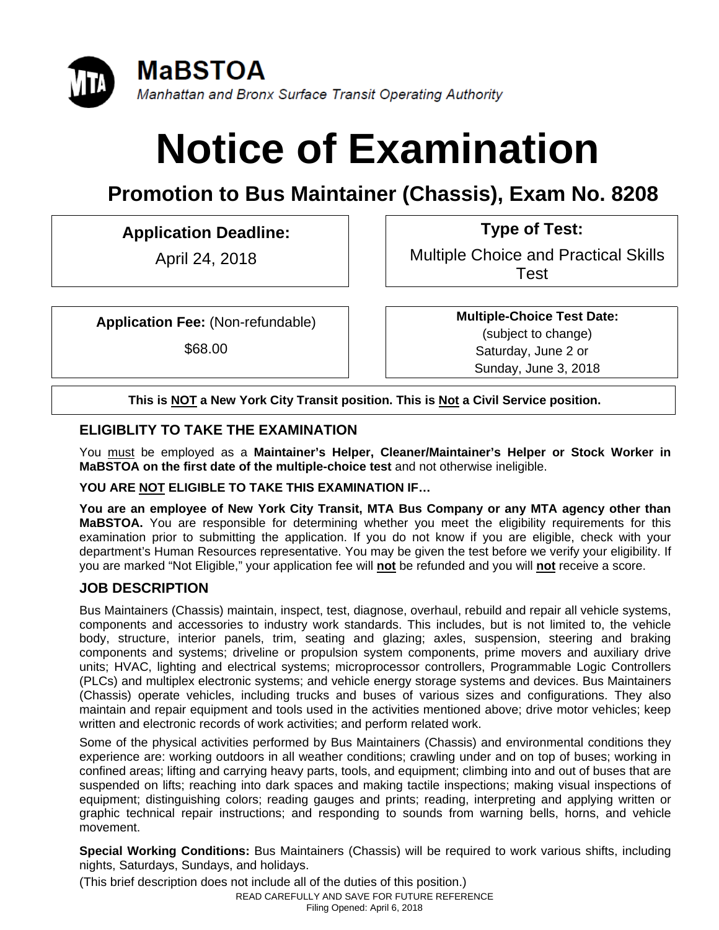

# **Notice of Examination**

# **Promotion to Bus Maintainer (Chassis), Exam No. 8208**

**Application Deadline: Type of Test:** 

April 24, 2018 **Multiple Choice and Practical Skills** Test

**Application Fee:** (Non-refundable)

\$68.00

**Multiple-Choice Test Date:** (subject to change) Saturday, June 2 or Sunday, June 3, 2018

**This is NOT a New York City Transit position. This is Not a Civil Service position.** 

# **ELIGIBLITY TO TAKE THE EXAMINATION**

You must be employed as a **Maintainer's Helper, Cleaner/Maintainer's Helper or Stock Worker in MaBSTOA on the first date of the multiple-choice test** and not otherwise ineligible.

#### **YOU ARE NOT ELIGIBLE TO TAKE THIS EXAMINATION IF…**

**You are an employee of New York City Transit, MTA Bus Company or any MTA agency other than MaBSTOA.** You are responsible for determining whether you meet the eligibility requirements for this examination prior to submitting the application. If you do not know if you are eligible, check with your department's Human Resources representative. You may be given the test before we verify your eligibility. If you are marked "Not Eligible," your application fee will **not** be refunded and you will **not** receive a score.

# **JOB DESCRIPTION**

Bus Maintainers (Chassis) maintain, inspect, test, diagnose, overhaul, rebuild and repair all vehicle systems, components and accessories to industry work standards. This includes, but is not limited to, the vehicle body, structure, interior panels, trim, seating and glazing; axles, suspension, steering and braking components and systems; driveline or propulsion system components, prime movers and auxiliary drive units; HVAC, lighting and electrical systems; microprocessor controllers, Programmable Logic Controllers (PLCs) and multiplex electronic systems; and vehicle energy storage systems and devices. Bus Maintainers (Chassis) operate vehicles, including trucks and buses of various sizes and configurations. They also maintain and repair equipment and tools used in the activities mentioned above; drive motor vehicles; keep written and electronic records of work activities; and perform related work.

Some of the physical activities performed by Bus Maintainers (Chassis) and environmental conditions they experience are: working outdoors in all weather conditions; crawling under and on top of buses; working in confined areas; lifting and carrying heavy parts, tools, and equipment; climbing into and out of buses that are suspended on lifts; reaching into dark spaces and making tactile inspections; making visual inspections of equipment; distinguishing colors; reading gauges and prints; reading, interpreting and applying written or graphic technical repair instructions; and responding to sounds from warning bells, horns, and vehicle movement.

**Special Working Conditions:** Bus Maintainers (Chassis) will be required to work various shifts, including nights, Saturdays, Sundays, and holidays.

(This brief description does not include all of the duties of this position.)

READ CAREFULLY AND SAVE FOR FUTURE REFERENCE

Filing Opened: April 6, 2018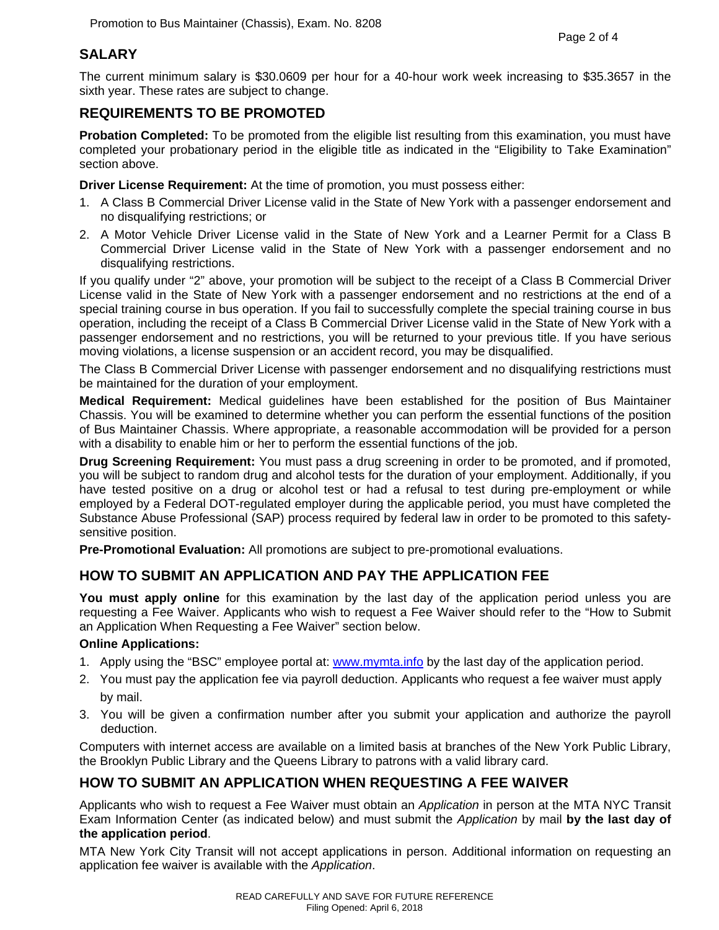#### **SALARY**

The current minimum salary is \$30.0609 per hour for a 40-hour work week increasing to \$35.3657 in the sixth year. These rates are subject to change.

## **REQUIREMENTS TO BE PROMOTED**

**Probation Completed:** To be promoted from the eligible list resulting from this examination, you must have completed your probationary period in the eligible title as indicated in the "Eligibility to Take Examination" section above.

**Driver License Requirement:** At the time of promotion, you must possess either:

- 1. A Class B Commercial Driver License valid in the State of New York with a passenger endorsement and no disqualifying restrictions; or
- 2. A Motor Vehicle Driver License valid in the State of New York and a Learner Permit for a Class B Commercial Driver License valid in the State of New York with a passenger endorsement and no disqualifying restrictions.

If you qualify under "2" above, your promotion will be subject to the receipt of a Class B Commercial Driver License valid in the State of New York with a passenger endorsement and no restrictions at the end of a special training course in bus operation. If you fail to successfully complete the special training course in bus operation, including the receipt of a Class B Commercial Driver License valid in the State of New York with a passenger endorsement and no restrictions, you will be returned to your previous title. If you have serious moving violations, a license suspension or an accident record, you may be disqualified.

The Class B Commercial Driver License with passenger endorsement and no disqualifying restrictions must be maintained for the duration of your employment.

**Medical Requirement:** Medical guidelines have been established for the position of Bus Maintainer Chassis. You will be examined to determine whether you can perform the essential functions of the position of Bus Maintainer Chassis. Where appropriate, a reasonable accommodation will be provided for a person with a disability to enable him or her to perform the essential functions of the job.

**Drug Screening Requirement:** You must pass a drug screening in order to be promoted, and if promoted, you will be subject to random drug and alcohol tests for the duration of your employment. Additionally, if you have tested positive on a drug or alcohol test or had a refusal to test during pre-employment or while employed by a Federal DOT-regulated employer during the applicable period, you must have completed the Substance Abuse Professional (SAP) process required by federal law in order to be promoted to this safetysensitive position.

**Pre-Promotional Evaluation:** All promotions are subject to pre-promotional evaluations.

## **HOW TO SUBMIT AN APPLICATION AND PAY THE APPLICATION FEE**

**You must apply online** for this examination by the last day of the application period unless you are requesting a Fee Waiver. Applicants who wish to request a Fee Waiver should refer to the "How to Submit an Application When Requesting a Fee Waiver" section below.

#### **Online Applications:**

- 1. Apply using the "BSC" employee portal at: www.mymta.info by the last day of the application period.
- 2. You must pay the application fee via payroll deduction. Applicants who request a fee waiver must apply by mail.
- 3. You will be given a confirmation number after you submit your application and authorize the payroll deduction.

Computers with internet access are available on a limited basis at branches of the New York Public Library, the Brooklyn Public Library and the Queens Library to patrons with a valid library card.

#### **HOW TO SUBMIT AN APPLICATION WHEN REQUESTING A FEE WAIVER**

Applicants who wish to request a Fee Waiver must obtain an *Application* in person at the MTA NYC Transit Exam Information Center (as indicated below) and must submit the *Application* by mail **by the last day of the application period**.

MTA New York City Transit will not accept applications in person. Additional information on requesting an application fee waiver is available with the *Application*.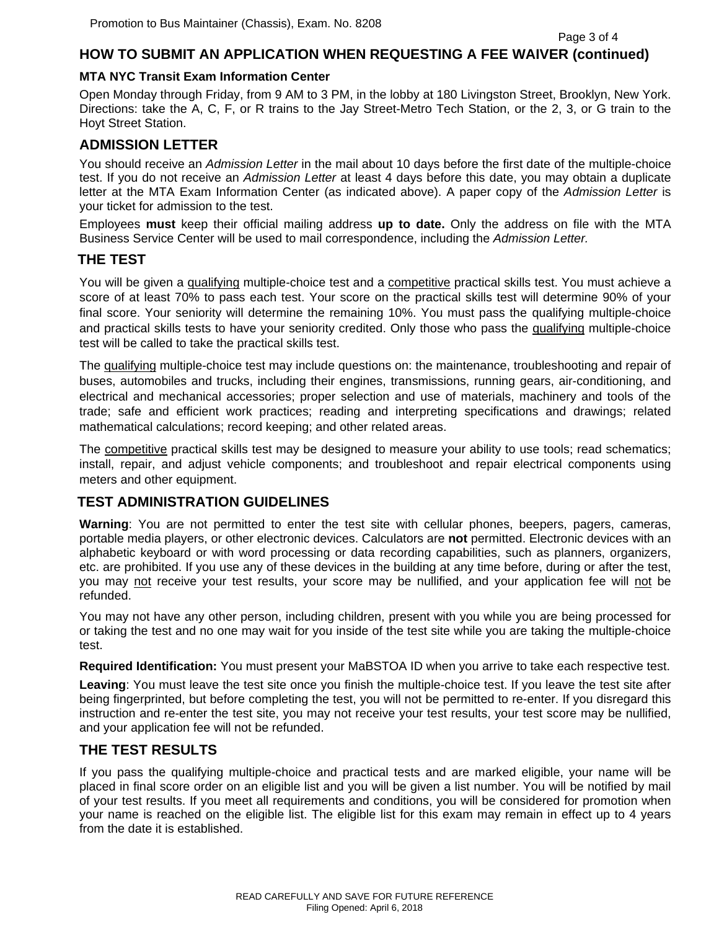#### **HOW TO SUBMIT AN APPLICATION WHEN REQUESTING A FEE WAIVER (continued)**

#### **MTA NYC Transit Exam Information Center**

Open Monday through Friday, from 9 AM to 3 PM, in the lobby at 180 Livingston Street, Brooklyn, New York. Directions: take the A, C, F, or R trains to the Jay Street-Metro Tech Station, or the 2, 3, or G train to the Hoyt Street Station.

#### **ADMISSION LETTER**

You should receive an *Admission Letter* in the mail about 10 days before the first date of the multiple-choice test. If you do not receive an *Admission Letter* at least 4 days before this date, you may obtain a duplicate letter at the MTA Exam Information Center (as indicated above). A paper copy of the *Admission Letter* is your ticket for admission to the test.

Employees **must** keep their official mailing address **up to date.** Only the address on file with the MTA Business Service Center will be used to mail correspondence, including the *Admission Letter.*

#### **THE TEST**

You will be given a qualifying multiple-choice test and a competitive practical skills test. You must achieve a score of at least 70% to pass each test. Your score on the practical skills test will determine 90% of your final score. Your seniority will determine the remaining 10%. You must pass the qualifying multiple-choice and practical skills tests to have your seniority credited. Only those who pass the qualifying multiple-choice test will be called to take the practical skills test.

The qualifying multiple-choice test may include questions on: the maintenance, troubleshooting and repair of buses, automobiles and trucks, including their engines, transmissions, running gears, air-conditioning, and electrical and mechanical accessories; proper selection and use of materials, machinery and tools of the trade; safe and efficient work practices; reading and interpreting specifications and drawings; related mathematical calculations; record keeping; and other related areas.

The competitive practical skills test may be designed to measure your ability to use tools; read schematics; install, repair, and adjust vehicle components; and troubleshoot and repair electrical components using meters and other equipment.

#### **TEST ADMINISTRATION GUIDELINES**

**Warning**: You are not permitted to enter the test site with cellular phones, beepers, pagers, cameras, portable media players, or other electronic devices. Calculators are **not** permitted. Electronic devices with an alphabetic keyboard or with word processing or data recording capabilities, such as planners, organizers, etc. are prohibited. If you use any of these devices in the building at any time before, during or after the test, you may not receive your test results, your score may be nullified, and your application fee will not be refunded.

You may not have any other person, including children, present with you while you are being processed for or taking the test and no one may wait for you inside of the test site while you are taking the multiple-choice test.

**Required Identification:** You must present your MaBSTOA ID when you arrive to take each respective test.

**Leaving**: You must leave the test site once you finish the multiple-choice test. If you leave the test site after being fingerprinted, but before completing the test, you will not be permitted to re-enter. If you disregard this instruction and re-enter the test site, you may not receive your test results, your test score may be nullified, and your application fee will not be refunded.

#### **THE TEST RESULTS**

If you pass the qualifying multiple-choice and practical tests and are marked eligible, your name will be placed in final score order on an eligible list and you will be given a list number. You will be notified by mail of your test results. If you meet all requirements and conditions, you will be considered for promotion when your name is reached on the eligible list. The eligible list for this exam may remain in effect up to 4 years from the date it is established.